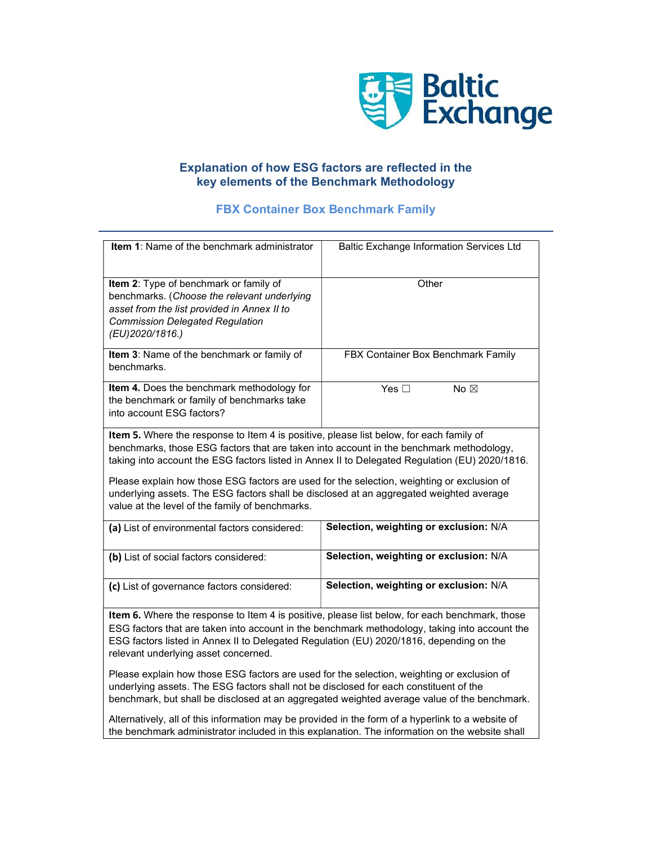

## Explanation of how ESG factors are reflected in the key elements of the Benchmark Methodology

## FBX Container Box Benchmark Family

| Item 1: Name of the benchmark administrator                                                       | <b>Baltic Exchange Information Services Ltd</b> |
|---------------------------------------------------------------------------------------------------|-------------------------------------------------|
|                                                                                                   |                                                 |
| Item 2: Type of benchmark or family of                                                            | Other                                           |
| benchmarks. (Choose the relevant underlying                                                       |                                                 |
| asset from the list provided in Annex II to                                                       |                                                 |
| <b>Commission Delegated Regulation</b>                                                            |                                                 |
| (EU)2020/1816.)                                                                                   |                                                 |
|                                                                                                   |                                                 |
| Item 3: Name of the benchmark or family of                                                        | FBX Container Box Benchmark Family              |
| benchmarks.                                                                                       |                                                 |
| Item 4. Does the benchmark methodology for                                                        | Yes $\square$<br>No $\boxtimes$                 |
| the benchmark or family of benchmarks take                                                        |                                                 |
| into account ESG factors?                                                                         |                                                 |
|                                                                                                   |                                                 |
| Item 5. Where the response to Item 4 is positive, please list below, for each family of           |                                                 |
| benchmarks, those ESG factors that are taken into account in the benchmark methodology,           |                                                 |
| taking into account the ESG factors listed in Annex II to Delegated Regulation (EU) 2020/1816.    |                                                 |
| Please explain how those ESG factors are used for the selection, weighting or exclusion of        |                                                 |
| underlying assets. The ESG factors shall be disclosed at an aggregated weighted average           |                                                 |
| value at the level of the family of benchmarks.                                                   |                                                 |
|                                                                                                   |                                                 |
| (a) List of environmental factors considered:                                                     | Selection, weighting or exclusion: N/A          |
|                                                                                                   |                                                 |
| (b) List of social factors considered:                                                            | Selection, weighting or exclusion: N/A          |
|                                                                                                   |                                                 |
| (c) List of governance factors considered:                                                        | Selection, weighting or exclusion: N/A          |
|                                                                                                   |                                                 |
| Item 6. Where the response to Item 4 is positive, please list below, for each benchmark, those    |                                                 |
| ESG factors that are taken into account in the benchmark methodology, taking into account the     |                                                 |
| ESG factors listed in Annex II to Delegated Regulation (EU) 2020/1816, depending on the           |                                                 |
| relevant underlying asset concerned.                                                              |                                                 |
|                                                                                                   |                                                 |
| Please explain how those ESG factors are used for the selection, weighting or exclusion of        |                                                 |
| underlying assets. The ESG factors shall not be disclosed for each constituent of the             |                                                 |
| benchmark, but shall be disclosed at an aggregated weighted average value of the benchmark.       |                                                 |
| Alternatively, all of this information may be provided in the form of a hyperlink to a website of |                                                 |
| the benchmark administrator included in this explanation. The information on the website shall    |                                                 |
|                                                                                                   |                                                 |